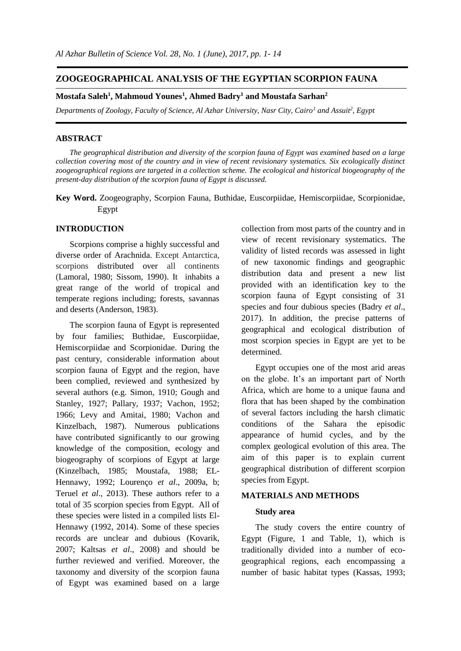# **ZOOGEOGRAPHICAL ANALYSIS OF THE EGYPTIAN SCORPION FAUNA**

## **Mostafa Saleh<sup>1</sup> , Mahmoud Younes<sup>1</sup> , Ahmed Badry<sup>1</sup> and Moustafa Sarhan<sup>2</sup>**

*Departments of Zoology, Faculty of Science, Al Azhar University, Nasr City, Cairo<sup>1</sup> and Assuit<sup>2</sup> , Egypt*

#### **ABSTRACT**

*The geographical distribution and diversity of the scorpion fauna of Egypt was examined based on a large collection covering most of the country and in view of recent revisionary systematics. Six ecologically distinct zoogeographical regions are targeted in a collection scheme. The ecological and historical biogeography of the present-day distribution of the scorpion fauna of Egypt is discussed.*

**Key Word.** Zoogeography, Scorpion Fauna, Buthidae, Euscorpiidae, Hemiscorpiidae, Scorpionidae, Egypt

# **INTRODUCTION**

Scorpions comprise a highly successful and diverse order of Arachnida. Except Antarctica, scorpions distributed over all continents (Lamoral, 1980; Sissom, 1990). It inhabits a great range of the world of tropical and temperate regions including; forests, savannas and deserts (Anderson, 1983).

The scorpion fauna of Egypt is represented by four families; Buthidae, Euscorpiidae, Hemiscorpiidae and Scorpionidae. During the past century, considerable information about scorpion fauna of Egypt and the region, have been complied, reviewed and synthesized by several authors (e.g. Simon, 1910; Gough and Stanley, 1927; Pallary, 1937; Vachon, 1952; 1966; Levy and Amitai, 1980; Vachon and Kinzelbach, 1987). Numerous publications have contributed significantly to our growing knowledge of the composition, ecology and biogeography of scorpions of Egypt at large (Kinzelbach, 1985; Moustafa, 1988; EL-Hennawy, 1992; Lourenço *et al*., 2009a, b; Teruel *et al*., 2013). These authors refer to a total of 35 scorpion species from Egypt. All of these species were listed in a compiled lists El-Hennawy (1992, 2014). Some of these species records are unclear and dubious (Kovarik, 2007; Kaltsas *et al*., 2008) and should be further reviewed and verified. Moreover, the taxonomy and diversity of the scorpion fauna of Egypt was examined based on a large collection from most parts of the country and in view of recent revisionary systematics. The validity of listed records was assessed in light of new taxonomic findings and geographic distribution data and present a new list provided with an identification key to the scorpion fauna of Egypt consisting of 31 species and four dubious species (Badry *et al*., 2017). In addition, the precise patterns of geographical and ecological distribution of most scorpion species in Egypt are yet to be determined.

Egypt occupies one of the most arid areas on the globe. It's an important part of North Africa, which are home to a unique fauna and flora that has been shaped by the combination of several factors including the harsh climatic conditions of the Sahara the episodic appearance of humid cycles, and by the complex geological evolution of this area. The aim of this paper is to explain current geographical distribution of different scorpion species from Egypt.

## **MATERIALS AND METHODS**

## **Study area**

The study covers the entire country of Egypt (Figure, 1 and Table, 1), which is traditionally divided into a number of ecogeographical regions, each encompassing a number of basic habitat types (Kassas, 1993;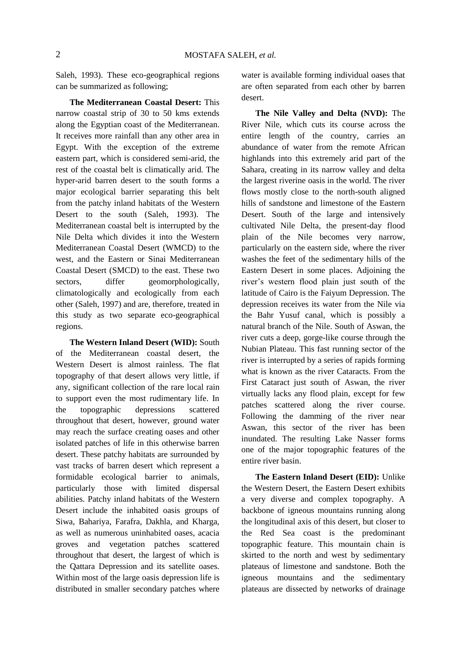Saleh, 1993). These eco-geographical regions can be summarized as following;

**The Mediterranean Coastal Desert:** This narrow coastal strip of 30 to 50 kms extends along the Egyptian coast of the Mediterranean. It receives more rainfall than any other area in Egypt. With the exception of the extreme eastern part, which is considered semi-arid, the rest of the coastal belt is climatically arid. The hyper-arid barren desert to the south forms a major ecological barrier separating this belt from the patchy inland habitats of the Western Desert to the south (Saleh, 1993). The Mediterranean coastal belt is interrupted by the Nile Delta which divides it into the Western Mediterranean Coastal Desert (WMCD) to the west, and the Eastern or Sinai Mediterranean Coastal Desert (SMCD) to the east. These two sectors, differ geomorphologically, climatologically and ecologically from each other (Saleh, 1997) and are, therefore, treated in this study as two separate eco-geographical regions.

**The Western Inland Desert (WID):** South of the Mediterranean coastal desert, the Western Desert is almost rainless. The flat topography of that desert allows very little, if any, significant collection of the rare local rain to support even the most rudimentary life. In the topographic depressions scattered throughout that desert, however, ground water may reach the surface creating oases and other isolated patches of life in this otherwise barren desert. These patchy habitats are surrounded by vast tracks of barren desert which represent a formidable ecological barrier to animals, particularly those with limited dispersal abilities. Patchy inland habitats of the Western Desert include the inhabited oasis groups of Siwa, Bahariya, Farafra, Dakhla, and Kharga, as well as numerous uninhabited oases, acacia groves and vegetation patches scattered throughout that desert, the largest of which is the Qattara Depression and its satellite oases. Within most of the large oasis depression life is distributed in smaller secondary patches where water is available forming individual oases that are often separated from each other by barren desert.

**The Nile Valley and Delta (NVD):** The River Nile, which cuts its course across the entire length of the country, carries an abundance of water from the remote African highlands into this extremely arid part of the Sahara, creating in its narrow valley and delta the largest riverine oasis in the world. The river flows mostly close to the north-south aligned hills of sandstone and limestone of the Eastern Desert. South of the large and intensively cultivated Nile Delta, the present-day flood plain of the Nile becomes very narrow, particularly on the eastern side, where the river washes the feet of the sedimentary hills of the Eastern Desert in some places. Adjoining the river's western flood plain just south of the latitude of Cairo is the Faiyum Depression. The depression receives its water from the Nile via the Bahr Yusuf canal, which is possibly a natural branch of the Nile. South of Aswan, the river cuts a deep, gorge-like course through the Nubian Plateau. This fast running sector of the river is interrupted by a series of rapids forming what is known as the river Cataracts. From the First Cataract just south of Aswan, the river virtually lacks any flood plain, except for few patches scattered along the river course. Following the damming of the river near Aswan, this sector of the river has been inundated. The resulting Lake Nasser forms one of the major topographic features of the entire river basin.

**The Eastern Inland Desert (EID):** Unlike the Western Desert, the Eastern Desert exhibits a very diverse and complex topography. A backbone of igneous mountains running along the longitudinal axis of this desert, but closer to the Red Sea coast is the predominant topographic feature. This mountain chain is skirted to the north and west by sedimentary plateaus of limestone and sandstone. Both the igneous mountains and the sedimentary plateaus are dissected by networks of drainage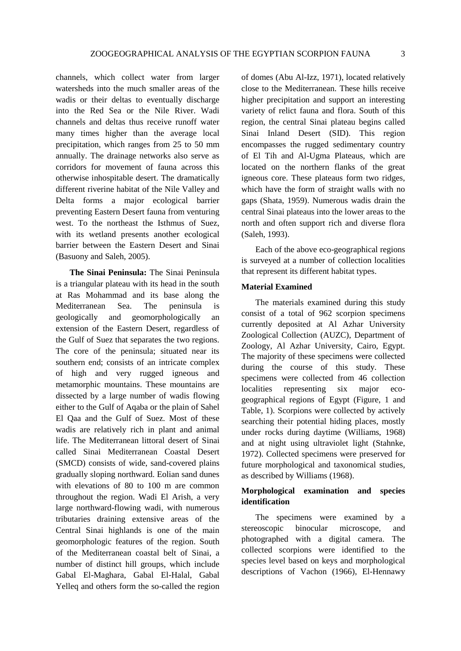channels, which collect water from larger watersheds into the much smaller areas of the wadis or their deltas to eventually discharge into the Red Sea or the Nile River. Wadi channels and deltas thus receive runoff water many times higher than the average local precipitation, which ranges from 25 to 50 mm annually. The drainage networks also serve as corridors for movement of fauna across this otherwise inhospitable desert. The dramatically different riverine habitat of the Nile Valley and Delta forms a major ecological barrier preventing Eastern Desert fauna from venturing west. To the northeast the Isthmus of Suez, with its wetland presents another ecological barrier between the Eastern Desert and Sinai (Basuony and Saleh, 2005).

**The Sinai Peninsula:** The Sinai Peninsula is a triangular plateau with its head in the south at Ras Mohammad and its base along the Mediterranean Sea. The peninsula is geologically and geomorphologically an extension of the Eastern Desert, regardless of the Gulf of Suez that separates the two regions. The core of the peninsula; situated near its southern end; consists of an intricate complex of high and very rugged igneous and metamorphic mountains. These mountains are dissected by a large number of wadis flowing either to the Gulf of Aqaba or the plain of Sahel El Qaa and the Gulf of Suez. Most of these wadis are relatively rich in plant and animal life. The Mediterranean littoral desert of Sinai called Sinai Mediterranean Coastal Desert (SMCD) consists of wide, sand-covered plains gradually sloping northward. Eolian sand dunes with elevations of 80 to 100 m are common throughout the region. Wadi El Arish, a very large northward-flowing wadi, with numerous tributaries draining extensive areas of the Central Sinai highlands is one of the main geomorphologic features of the region. South of the Mediterranean coastal belt of Sinai, a number of distinct hill groups, which include Gabal El-Maghara, Gabal El-Halal, Gabal Yelleq and others form the so-called the region of domes (Abu Al-Izz, 1971), located relatively close to the Mediterranean. These hills receive higher precipitation and support an interesting variety of relict fauna and flora. South of this region, the central Sinai plateau begins called Sinai Inland Desert (SID). This region encompasses the rugged sedimentary country of El Tih and Al-Ugma Plateaus, which are located on the northern flanks of the great igneous core. These plateaus form two ridges, which have the form of straight walls with no gaps (Shata, 1959). Numerous wadis drain the central Sinai plateaus into the lower areas to the north and often support rich and diverse flora (Saleh, 1993).

Each of the above eco-geographical regions is surveyed at a number of collection localities that represent its different habitat types.

# **Material Examined**

The materials examined during this study consist of a total of 962 scorpion specimens currently deposited at Al Azhar University Zoological Collection (AUZC), Department of Zoology, Al Azhar University, Cairo, Egypt. The majority of these specimens were collected during the course of this study. These specimens were collected from 46 collection localities representing six major ecogeographical regions of Egypt (Figure, 1 and Table, 1). Scorpions were collected by actively searching their potential hiding places, mostly under rocks during daytime (Williams, 1968) and at night using ultraviolet light (Stahnke, 1972). Collected specimens were preserved for future morphological and taxonomical studies, as described by Williams (1968).

# **Morphological examination and species identification**

The specimens were examined by a stereoscopic binocular microscope, and photographed with a digital camera. The collected scorpions were identified to the species level based on keys and morphological descriptions of Vachon (1966), El-Hennawy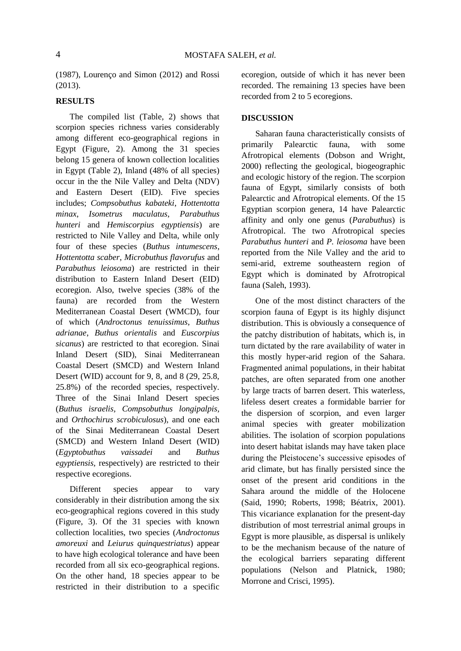(1987), Lourenço and Simon (2012) and Rossi (2013).

# **RESULTS**

The compiled list (Table, 2) shows that scorpion species richness varies considerably among different eco-geographical regions in Egypt (Figure, 2). Among the 31 species belong 15 genera of known collection localities in Egypt (Table 2), Inland (48% of all species) occur in the the Nile Valley and Delta (NDV) and Eastern Desert (EID). Five species includes; *Compsobuthus kabateki*, *Hottentotta minax*, *Isometrus maculatus*, *Parabuthus hunteri* and *Hemiscorpius egyptiensis*) are restricted to Nile Valley and Delta, while only four of these species (*Buthus intumescens*, *Hottentotta scaber*, *Microbuthus flavorufus* and *Parabuthus leiosoma*) are restricted in their distribution to Eastern Inland Desert (EID) ecoregion. Also, twelve species (38% of the fauna) are recorded from the Western Mediterranean Coastal Desert (WMCD), four of which (*Androctonus tenuissimus*, *Buthus adrianae*, *Buthus orientalis* and *Euscorpius sicanus*) are restricted to that ecoregion. Sinai Inland Desert (SID), Sinai Mediterranean Coastal Desert (SMCD) and Western Inland Desert (WID) account for 9, 8, and 8 (29, 25.8, 25.8%) of the recorded species, respectively. Three of the Sinai Inland Desert species (*Buthus israelis, Compsobuthus longipalpis,* and *Orthochirus scrobiculosus*), and one each of the Sinai Mediterranean Coastal Desert (SMCD) and Western Inland Desert (WID) (*Egyptobuthus vaissadei* and *Buthus egyptiensis,* respectively) are restricted to their respective ecoregions.

Different species appear to vary considerably in their distribution among the six eco-geographical regions covered in this study (Figure, 3). Of the 31 species with known collection localities, two species (*Androctonus amoreuxi* and *Leiurus quinquestriatus*) appear to have high ecological tolerance and have been recorded from all six eco-geographical regions. On the other hand, 18 species appear to be restricted in their distribution to a specific ecoregion, outside of which it has never been recorded. The remaining 13 species have been recorded from 2 to 5 ecoregions.

# **DISCUSSION**

Saharan fauna characteristically consists of primarily Palearctic fauna, with some Afrotropical elements (Dobson and Wright, 2000) reflecting the geological, biogeographic and ecologic history of the region. The scorpion fauna of Egypt, similarly consists of both Palearctic and Afrotropical elements. Of the 15 Egyptian scorpion genera, 14 have Palearctic affinity and only one genus (*Parabuthus*) is Afrotropical. The two Afrotropical species *Parabuthus hunteri* and *P. leiosoma* have been reported from the Nile Valley and the arid to semi-arid, extreme southeastern region of Egypt which is dominated by Afrotropical fauna (Saleh, 1993).

One of the most distinct characters of the scorpion fauna of Egypt is its highly disjunct distribution. This is obviously a consequence of the patchy distribution of habitats, which is, in turn dictated by the rare availability of water in this mostly hyper-arid region of the Sahara. Fragmented animal populations, in their habitat patches, are often separated from one another by large tracts of barren desert. This waterless, lifeless desert creates a formidable barrier for the dispersion of scorpion, and even larger animal species with greater mobilization abilities. The isolation of scorpion populations into desert habitat islands may have taken place during the Pleistocene's successive episodes of arid climate, but has finally persisted since the onset of the present arid conditions in the Sahara around the middle of the Holocene (Said, 1990; Roberts, 1998; Béatrix, 2001). This vicariance explanation for the present-day distribution of most terrestrial animal groups in Egypt is more plausible, as dispersal is unlikely to be the mechanism because of the nature of the ecological barriers separating different populations (Nelson and Platnick, 1980; Morrone and Crisci, 1995).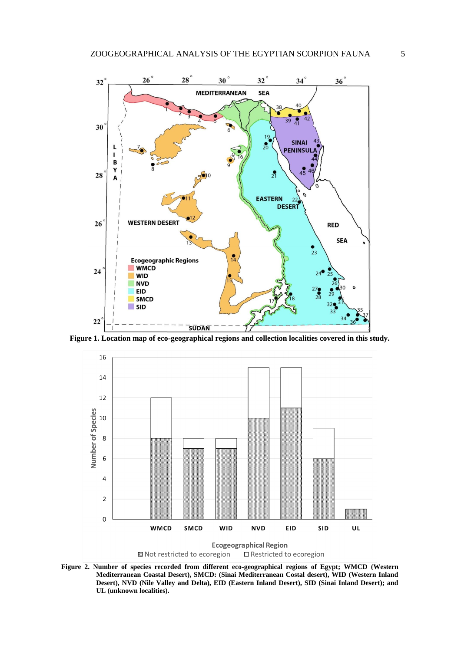

**Figure 1. Location map of eco-geographical regions and collection localities covered in this study.**



**Figure 2. Number of species recorded from different eco-geographical regions of Egypt; WMCD (Western Mediterranean Coastal Desert), SMCD: (Sinai Mediterranean Costal desert), WID (Western Inland Desert), NVD (Nile Valley and Delta), EID (Eastern Inland Desert), SID (Sinai Inland Desert); and UL (unknown localities).**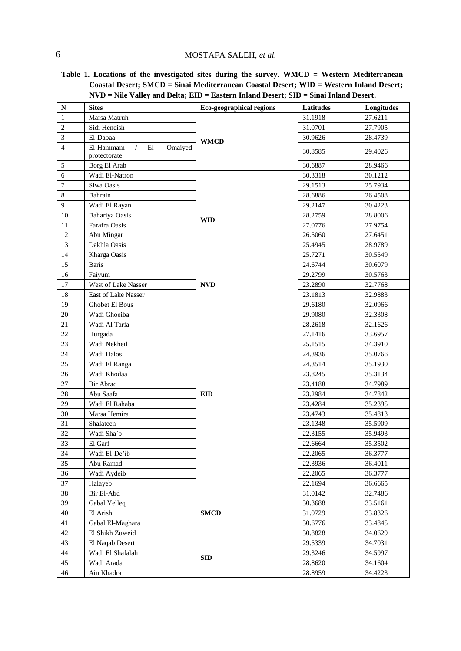# MOSTAFA SALEH, *et al.*

**Table 1. Locations of the investigated sites during the survey. WMCD = Western Mediterranean Coastal Desert; SMCD = Sinai Mediterranean Coastal Desert; WID = Western Inland Desert; NVD = Nile Valley and Delta; EID = Eastern Inland Desert; SID = Sinai Inland Desert.**

| $\mathbb N$    | <b>Sites</b>                                                | Eco-geographical regions | Latitudes | Longitudes |
|----------------|-------------------------------------------------------------|--------------------------|-----------|------------|
| $\mathbf{1}$   | Marsa Matruh                                                |                          | 31.1918   | 27.6211    |
| $\overline{c}$ | Sidi Heneish                                                |                          | 31.0701   | 27.7905    |
| $\mathfrak{Z}$ | El-Dabaa                                                    | <b>WMCD</b>              | 30.9626   | 28.4739    |
| 4              | El-Hammam<br>$\sqrt{2}$<br>$El-$<br>Omaiyed<br>protectorate |                          | 30.8585   | 29.4026    |
| 5              | Borg El Arab                                                |                          | 30.6887   | 28.9466    |
| 6              | Wadi El-Natron                                              |                          | 30.3318   | 30.1212    |
| 7              | Siwa Oasis                                                  |                          | 29.1513   | 25.7934    |
| $\,8\,$        | Bahrain                                                     |                          | 28.6886   | 26.4508    |
| 9              | Wadi El Rayan                                               |                          | 29.2147   | 30.4223    |
| 10             | Bahariya Oasis                                              | <b>WID</b>               | 28.2759   | 28.8006    |
| 11             | Farafra Oasis                                               |                          | 27.0776   | 27.9754    |
| 12             | Abu Mingar                                                  |                          | 26.5060   | 27.6451    |
| 13             | Dakhla Oasis                                                |                          | 25.4945   | 28.9789    |
| 14             | Kharga Oasis                                                |                          | 25.7271   | 30.5549    |
| 15             | <b>Baris</b>                                                |                          | 24.6744   | 30.6079    |
| 16             | Faiyum                                                      |                          | 29.2799   | 30.5763    |
| $17\,$         | West of Lake Nasser                                         | <b>NVD</b>               | 23.2890   | 32.7768    |
| 18             | East of Lake Nasser                                         |                          | 23.1813   | 32.9883    |
| 19             | Ghobet El Bous                                              |                          | 29.6180   | 32.0966    |
| $20\,$         | Wadi Ghoeiba                                                |                          | 29.9080   | 32.3308    |
| 21             | Wadi Al Tarfa                                               |                          | 28.2618   | 32.1626    |
| $22\,$         | Hurgada                                                     |                          | 27.1416   | 33.6957    |
| 23             | Wadi Nekheil                                                |                          | 25.1515   | 34.3910    |
| 24             | Wadi Halos                                                  |                          | 24.3936   | 35.0766    |
| 25             | Wadi El Ranga                                               |                          | 24.3514   | 35.1930    |
| $26\,$         | Wadi Khodaa                                                 |                          | 23.8245   | 35.3134    |
| 27             | Bir Abraq                                                   |                          | 23.4188   | 34.7989    |
| 28             | Abu Saafa                                                   | <b>EID</b>               | 23.2984   | 34.7842    |
| 29             | Wadi El Rahaba                                              |                          | 23.4284   | 35.2395    |
| 30             | Marsa Hemira                                                |                          | 23.4743   | 35.4813    |
| 31             | Shalateen                                                   |                          | 23.1348   | 35.5909    |
| 32             | Wadi Sha`b                                                  |                          | 22.3155   | 35.9493    |
| 33             | El Garf                                                     |                          | 22.6664   | 35.3502    |
| 34             | Wadi El-De'ib                                               |                          | 22.2065   | 36.3777    |
| 35             | Abu Ramad                                                   |                          | 22.3936   | 36.4011    |
| 36             | Wadi Aydeib                                                 |                          | 22.2065   | 36.3777    |
| 37             | Halayeb                                                     |                          | 22.1694   | 36.6665    |
| 38             | Bir El-Abd                                                  |                          | 31.0142   | 32.7486    |
| 39             | Gabal Yelleq                                                |                          | 30.3688   | 33.5161    |
| 40             | El Arish                                                    | <b>SMCD</b>              | 31.0729   | 33.8326    |
| 41             | Gabal El-Maghara                                            |                          | 30.6776   | 33.4845    |
| 42             | El Shikh Zuweid                                             |                          | 30.8828   | 34.0629    |
| 43             | El Naqab Desert                                             |                          | 29.5339   | 34.7031    |
| 44             | Wadi El Shafalah                                            | <b>SID</b>               | 29.3246   | 34.5997    |
| 45             | Wadi Arada                                                  |                          | 28.8620   | 34.1604    |
| 46             | Ain Khadra                                                  |                          | 28.8959   | 34.4223    |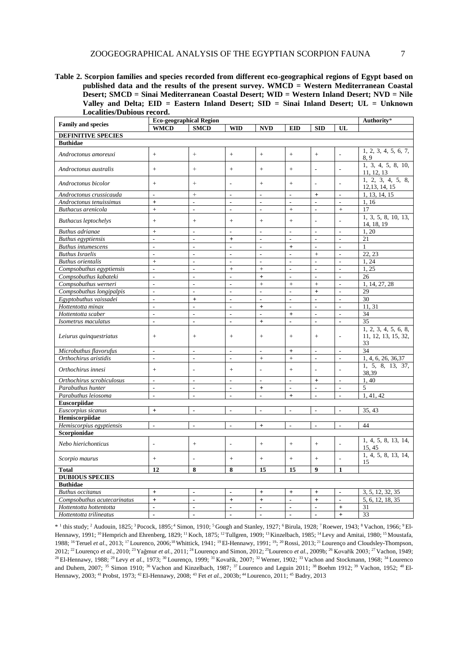**Table 2. Scorpion families and species recorded from different eco-geographical regions of Egypt based on published data and the results of the present survey. WMCD = Western Mediterranean Coastal Desert; SMCD = Sinai Mediterranean Coastal Desert; WID = Western Inland Desert; NVD = Nile Valley and Delta; EID = Eastern Inland Desert; SID = Sinai Inland Desert; UL = Unknown Localities/Dubious record.**

|                             | <b>Eco-geographical Region</b> |                          |                          |                |                          |                          |                          | Authority*                          |  |  |  |
|-----------------------------|--------------------------------|--------------------------|--------------------------|----------------|--------------------------|--------------------------|--------------------------|-------------------------------------|--|--|--|
| <b>Family and species</b>   | <b>WMCD</b>                    | <b>SMCD</b>              | <b>WID</b>               | <b>NVD</b>     | <b>EID</b>               | <b>SID</b>               | UL                       |                                     |  |  |  |
| <b>DEFINITIVE SPECIES</b>   |                                |                          |                          |                |                          |                          |                          |                                     |  |  |  |
| <b>Buthidae</b>             |                                |                          |                          |                |                          |                          |                          |                                     |  |  |  |
| Androctonus amoreuxi        | $\ddot{}$                      | $^{+}$                   | $+$                      | $\ddot{}$      | $+$                      | $+$                      |                          | 1, 2, 3, 4, 5, 6, 7,<br>8,9         |  |  |  |
| Androctonus australis       | $\ddot{}$                      | $^{+}$                   | $^{+}$                   | $\ddot{}$      | $+$                      | $\overline{a}$           |                          | 1, 3, 4, 5, 8, 10,<br>11, 12, 13    |  |  |  |
| Androctonus bicolor         | $^{+}$                         | $^{+}$                   | L,                       | $^{+}$         | $+$                      | $\overline{a}$           |                          | 1, 2, 3, 4, 5, 8,<br>12, 13, 14, 15 |  |  |  |
| Androctonus crussicauda     | $\overline{a}$                 | $^+$                     | $\overline{a}$           | $\overline{a}$ | $\overline{\phantom{a}}$ | $+$                      | $\overline{a}$           | 1, 13, 14, 15                       |  |  |  |
| Androctonus tenuissimus     | $\ddot{+}$                     | $\overline{a}$           | $\overline{a}$           | $\overline{a}$ | $\overline{a}$           | $\frac{1}{2}$            | $\overline{a}$           | 1,16                                |  |  |  |
| Buthacus arenicola          | $\ddot{}$                      | $\overline{a}$           | $\overline{a}$           | $\overline{a}$ | $+$                      | $\sim$                   | $\ddot{}$                | 17                                  |  |  |  |
| <b>Buthacus leptochelys</b> | $+$                            | $+$                      | $+$                      | $+$            | $+$                      |                          |                          | 1, 3, 5, 8, 10, 13,<br>14, 18, 19   |  |  |  |
| <b>Buthus</b> adrianae      | $\ddot{}$                      | ÷,                       | $\overline{a}$           | $\overline{a}$ | $\overline{\phantom{a}}$ | ÷,                       | $\frac{1}{2}$            | 1,20                                |  |  |  |
| <b>Buthus egyptiensis</b>   | L                              | ÷,                       | $\ddot{}$                | $\overline{a}$ | $\overline{a}$           | $\overline{\phantom{a}}$ | $\overline{a}$           | 21                                  |  |  |  |
| <b>Buthus intumescens</b>   | $\overline{a}$                 | ÷,                       | ÷,                       | $\overline{a}$ | $+$                      | ÷.                       | $\overline{a}$           | $\mathbf{1}$                        |  |  |  |
| <b>Buthus Israelis</b>      | L.                             | L.                       | ÷,                       | $\overline{a}$ | $\overline{\phantom{a}}$ | $+$                      | $\overline{\phantom{a}}$ | 22, 23                              |  |  |  |
| <b>Buthus orientalis</b>    | $\ddot{+}$                     | $\overline{a}$           | $\overline{a}$           | $\overline{a}$ | $\overline{a}$           | $\sim$                   | L.                       | 1, 24                               |  |  |  |
| Compsobuthus egyptiensis    | $\overline{a}$                 | ÷,                       | $\ddot{}$                | $\ddot{+}$     | $\overline{a}$           | ÷,                       | $\overline{a}$           | 1,25                                |  |  |  |
| Compsobuthus kabateki       | $\overline{a}$                 | $\overline{a}$           | $\overline{a}$           | $\ddot{+}$     | $\overline{\phantom{a}}$ | $\overline{a}$           | $\overline{a}$           | 26                                  |  |  |  |
| Compsobuthus werneri        | L.                             | L.                       | $\overline{a}$           | $\ddot{+}$     | $\ddot{+}$               | $+$                      | $\overline{a}$           | 1, 14, 27, 28                       |  |  |  |
| Compsobuthus longipalpis    | $\overline{a}$                 | $\overline{a}$           | $\overline{a}$           | $\overline{a}$ | $\overline{a}$           | $+$                      | $\overline{a}$           | 29                                  |  |  |  |
| Egyptobuthus vaissadei      | ÷,                             | $\ddot{}$                | ÷,                       | $\overline{a}$ | $\overline{\phantom{a}}$ | $\sim$                   | $\sim$                   | 30                                  |  |  |  |
| Hottentotta minax           | $\overline{a}$                 | $\frac{1}{2}$            | $\frac{1}{2}$            | $\ddot{}$      | $\overline{\phantom{a}}$ | $\overline{\phantom{a}}$ | $\frac{1}{2}$            | 11.31                               |  |  |  |
| Hottentotta scaber          | $\overline{a}$                 | $\overline{a}$           | $\overline{a}$           | $\overline{a}$ | $\ddot{}$                | $\overline{\phantom{a}}$ | $\overline{\phantom{a}}$ | 34                                  |  |  |  |
| Isometrus maculatus         | $\overline{a}$                 | $\overline{a}$           | ä,                       | $\ddot{+}$     | $\overline{a}$           | $\blacksquare$           | $\overline{a}$           | 35                                  |  |  |  |
|                             |                                |                          |                          |                |                          |                          |                          | 1, 2, 3, 4, 5, 6, 8,                |  |  |  |
| Leiurus quinquestriatus     | $^{+}$                         | $+$                      | $+$                      | $\ddot{}$      | $+$                      | $+$                      | ٠                        | 11, 12, 13, 15, 32,<br>33           |  |  |  |
| Microbuthus flavorufus      | ÷.                             | L.                       | $\overline{a}$           | $\overline{a}$ | $+$                      | ÷.                       | $\overline{a}$           | 34                                  |  |  |  |
| Orthochirus aristidis       | L,                             | $\overline{a}$           | ÷,                       | $\ddot{}$      | $+$                      | $\sim$                   | $\overline{\phantom{a}}$ | 1, 4, 6, 26, 36, 37                 |  |  |  |
| Orthochirus innesi          | $\ddot{}$                      | ÷,                       | $+$                      | $\overline{a}$ | $\ddot{+}$               |                          |                          | 1, 5, 8, 13, 37,<br>38,39           |  |  |  |
| Orthochirus scrobiculosus   | ÷.                             | L.                       | L.                       | L.             | L.                       | $\ddot{}$                | L.                       | 1,40                                |  |  |  |
| Parabuthus hunter           | $\overline{a}$                 | $\overline{\phantom{a}}$ | $\frac{1}{2}$            | $\ddot{}$      | $\overline{\phantom{a}}$ | $\overline{\phantom{a}}$ | $\overline{\phantom{a}}$ | 5                                   |  |  |  |
| Parabuthus leiosoma         | $\overline{a}$                 | $\overline{a}$           | $\overline{a}$           | $\overline{a}$ | $\ddot{+}$               | $\overline{a}$           | $\overline{a}$           | 1, 41, 42                           |  |  |  |
| Euscorpiidae                |                                |                          |                          |                |                          |                          |                          |                                     |  |  |  |
| Euscorpius sicanus          | $\ddot{}$                      | $\overline{a}$           | $\overline{a}$           | $\overline{a}$ | $\overline{a}$           | ÷,                       | $\overline{a}$           | 35, 43                              |  |  |  |
| Hemiscorpiidae              |                                |                          |                          |                |                          |                          |                          |                                     |  |  |  |
| Hemiscorpius egyptiensis    | $\overline{a}$                 | $\overline{a}$           | $\overline{a}$           | $\ddot{+}$     | $\frac{1}{2}$            | $\overline{a}$           | $\overline{a}$           | 44                                  |  |  |  |
| Scorpionidae                |                                |                          |                          |                |                          |                          |                          |                                     |  |  |  |
| Nebo hierichonticus         | L,                             | $+$                      | L,                       | $^{+}$         | $+$                      | $+$                      |                          | 1, 4, 5, 8, 13, 14,<br>15, 45       |  |  |  |
| Scorpio maurus              | $^{+}$                         |                          | $^{+}$                   | $^{+}$         | $+$                      | $^{+}$                   |                          | 1, 4, 5, 8, 13, 14,<br>15           |  |  |  |
| <b>Total</b>                | 12                             | 8                        | 8                        | 15             | 15                       | $\boldsymbol{9}$         | $\mathbf{1}$             |                                     |  |  |  |
| <b>DUBIOUS SPECIES</b>      |                                |                          |                          |                |                          |                          |                          |                                     |  |  |  |
| <b>Buthidae</b>             |                                |                          |                          |                |                          |                          |                          |                                     |  |  |  |
| <b>Buthus occitanus</b>     | $\ddot{+}$                     | $\blacksquare$           | $\blacksquare$           | $+$            | $+$                      | $+$                      | $\blacksquare$           | 3, 5, 12, 32, 35                    |  |  |  |
| Compsobuthus acutecarinatus | $\ddot{}$                      | $\overline{\phantom{a}}$ | $\ddot{}$                | $\ddot{}$      | $\blacksquare$           | $\ddot{}$                | $\overline{\phantom{a}}$ | 5, 6, 12, 18, 35                    |  |  |  |
| Hottentotta hottentotta     | L                              | $\overline{a}$           | $\overline{\phantom{a}}$ | $\overline{a}$ | $\overline{a}$           | $\overline{a}$           | $^{+}$                   | 31                                  |  |  |  |
| Hottentotta trilineatus     | $\overline{a}$                 | $\overline{a}$           | ä,                       | $\overline{a}$ | $\blacksquare$           | $\blacksquare$           | $\ddot{}$                | 33                                  |  |  |  |

\* <sup>1</sup> this study; <sup>2</sup> Audouin, 1825; <sup>3</sup> Pocock, 1895; <sup>4</sup> Simon, 1910; <sup>5</sup> Gough and Stanley, 1927; <sup>6</sup> Birula, 1928; <sup>7</sup> Roewer, 1943; <sup>8</sup> Vachon, 1966; <sup>9</sup> El-Hennawy, 1991; <sup>10</sup> Hemprich and Ehrenberg, 1829; <sup>11</sup> Koch, 1875; <sup>12</sup> Tullgren, 1909; <sup>13</sup> Kinzelbach, 1985; <sup>14</sup> Levy and Amitai, 1980; <sup>15</sup> Moustafa, 1988; <sup>16</sup> Teruel *et al.*, 2013; <sup>17</sup> Lourenco, 2006;<sup>18</sup> Whittick, 1941; <sup>19</sup> El-Hennawy, 1991; <sup>19</sup>; <sup>20</sup> Rossi, 2013; <sup>21</sup> Lourenço and Cloudsley-Thompson, 2012; <sup>22</sup>Lourenço *et al.*, 2010; <sup>23</sup>Yaǧmur *et al.*, 2011; <sup>24</sup>Lourenço and Simon, 2012; <sup>25</sup>Lourenco *et al.*, 2009b; <sup>26</sup> Kovařík 2003; <sup>27</sup>Vachon, 1949; <sup>28</sup> El-Hennawy, 1988; <sup>29</sup> Levy *et al.*, 1973; <sup>30</sup> Lourenço, 1999; <sup>31</sup> Kovařík, 2007; <sup>32</sup> Werner, 1902; <sup>33</sup> Vachon and Stockmann, 1968; <sup>34</sup> Lourenco and Duhem, 2007; <sup>35</sup> Simon 1910; <sup>36</sup> Vachon and Kinzelbach, 1987; <sup>37</sup> Lourenco and Leguin 2011; <sup>38</sup> Boehm 1912; <sup>39</sup> Vachon, 1952; <sup>40</sup> El-Hennawy, 2003; <sup>41</sup>Probst, 1973; <sup>42</sup>El-Hennawy, 2008; <sup>43</sup> Fet *et al.*, 2003b; <sup>44</sup>Lourenco, 2011; <sup>45</sup> Badry, 2013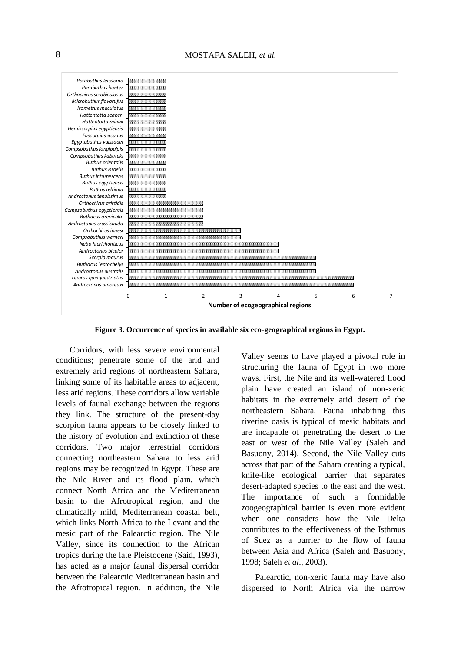

**Figure 3. Occurrence of species in available six eco-geographical regions in Egypt.**

Corridors, with less severe environmental conditions; penetrate some of the arid and extremely arid regions of northeastern Sahara, linking some of its habitable areas to adjacent, less arid regions. These corridors allow variable levels of faunal exchange between the regions they link. The structure of the present-day scorpion fauna appears to be closely linked to the history of evolution and extinction of these corridors. Two major terrestrial corridors connecting northeastern Sahara to less arid regions may be recognized in Egypt. These are the Nile River and its flood plain, which connect North Africa and the Mediterranean basin to the Afrotropical region, and the climatically mild, Mediterranean coastal belt, which links North Africa to the Levant and the mesic part of the Palearctic region. The Nile Valley, since its connection to the African tropics during the late Pleistocene (Said, 1993), has acted as a major faunal dispersal corridor between the Palearctic Mediterranean basin and the Afrotropical region. In addition, the Nile

Valley seems to have played a pivotal role in structuring the fauna of Egypt in two more ways. First, the Nile and its well-watered flood plain have created an island of non-xeric habitats in the extremely arid desert of the northeastern Sahara. Fauna inhabiting this riverine oasis is typical of mesic habitats and are incapable of penetrating the desert to the east or west of the Nile Valley (Saleh and Basuony, 2014). Second, the Nile Valley cuts across that part of the Sahara creating a typical, knife-like ecological barrier that separates desert-adapted species to the east and the west. The importance of such a formidable zoogeographical barrier is even more evident when one considers how the Nile Delta contributes to the effectiveness of the Isthmus of Suez as a barrier to the flow of fauna between Asia and Africa (Saleh and Basuony, 1998; Saleh *et al*., 2003).

Palearctic, non-xeric fauna may have also dispersed to North Africa via the narrow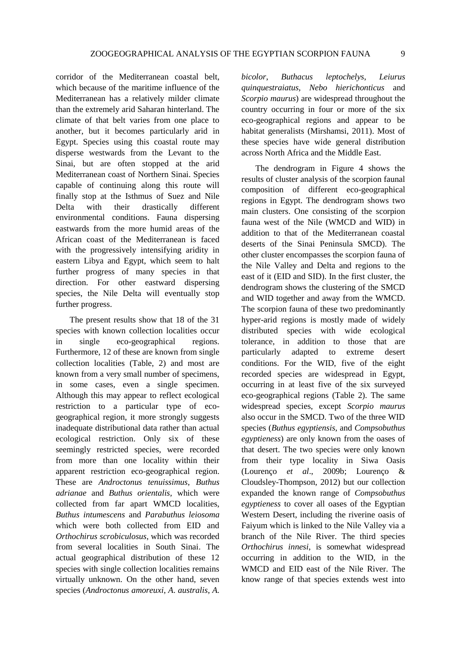corridor of the Mediterranean coastal belt, which because of the maritime influence of the Mediterranean has a relatively milder climate than the extremely arid Saharan hinterland. The climate of that belt varies from one place to another, but it becomes particularly arid in Egypt. Species using this coastal route may disperse westwards from the Levant to the Sinai, but are often stopped at the arid Mediterranean coast of Northern Sinai. Species capable of continuing along this route will finally stop at the Isthmus of Suez and Nile Delta with their drastically different environmental conditions. Fauna dispersing eastwards from the more humid areas of the African coast of the Mediterranean is faced with the progressively intensifying aridity in eastern Libya and Egypt, which seem to halt further progress of many species in that direction. For other eastward dispersing species, the Nile Delta will eventually stop further progress.

The present results show that 18 of the 31 species with known collection localities occur in single eco-geographical regions. Furthermore, 12 of these are known from single collection localities (Table, 2) and most are known from a very small number of specimens, in some cases, even a single specimen. Although this may appear to reflect ecological restriction to a particular type of ecogeographical region, it more strongly suggests inadequate distributional data rather than actual ecological restriction. Only six of these seemingly restricted species, were recorded from more than one locality within their apparent restriction eco-geographical region. These are *Androctonus tenuissimus*, *Buthus adrianae* and *Buthus orientalis,* which were collected from far apart WMCD localities, *Buthus intumescens* and *Parabuthus leiosoma* which were both collected from EID and *Orthochirus scrobiculosus*, which was recorded from several localities in South Sinai. The actual geographical distribution of these 12 species with single collection localities remains virtually unknown. On the other hand, seven species (*Androctonus amoreuxi*, *A*. *australis*, *A.* *bicolor*, *Buthacus leptochelys*, *Leiurus quinquestraiatus, Nebo hierichonticus* and *Scorpio maurus*) are widespread throughout the country occurring in four or more of the six eco-geographical regions and appear to be habitat generalists (Mirshamsi, 2011). Most of these species have wide general distribution across North Africa and the Middle East.

The dendrogram in Figure 4 shows the results of cluster analysis of the scorpion faunal composition of different eco-geographical regions in Egypt. The dendrogram shows two main clusters. One consisting of the scorpion fauna west of the Nile (WMCD and WID) in addition to that of the Mediterranean coastal deserts of the Sinai Peninsula SMCD). The other cluster encompasses the scorpion fauna of the Nile Valley and Delta and regions to the east of it (EID and SID). In the first cluster, the dendrogram shows the clustering of the SMCD and WID together and away from the WMCD. The scorpion fauna of these two predominantly hyper-arid regions is mostly made of widely distributed species with wide ecological tolerance, in addition to those that are particularly adapted to extreme desert conditions. For the WID, five of the eight recorded species are widespread in Egypt, occurring in at least five of the six surveyed eco-geographical regions (Table 2). The same widespread species, except *Scorpio maurus* also occur in the SMCD. Two of the three WID species (*Buthus egyptiensis*, and *Compsobuthus egyptieness*) are only known from the oases of that desert. The two species were only known from their type locality in Siwa Oasis (Lourenço *et al*., 2009b; Lourenço & Cloudsley-Thompson, 2012) but our collection expanded the known range of *Compsobuthus egyptieness* to cover all oases of the Egyptian Western Desert, including the riverine oasis of Faiyum which is linked to the Nile Valley via a branch of the Nile River. The third species *Orthochirus innesi*, is somewhat widespread occurring in addition to the WID, in the WMCD and EID east of the Nile River. The know range of that species extends west into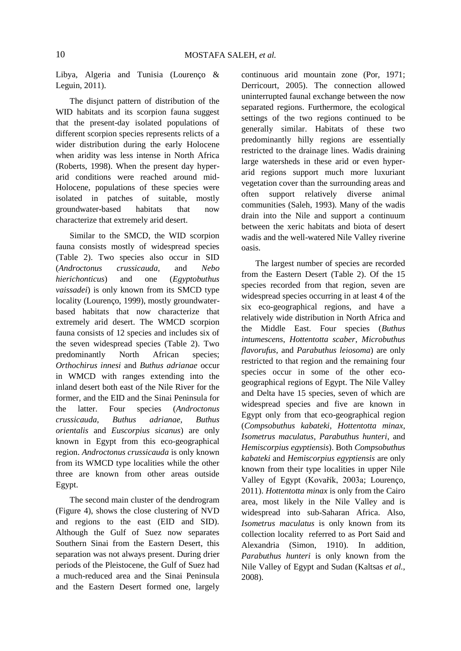Libya, Algeria and Tunisia (Lourenço & Leguin, 2011).

The disjunct pattern of distribution of the WID habitats and its scorpion fauna suggest that the present-day isolated populations of different scorpion species represents relicts of a wider distribution during the early Holocene when aridity was less intense in North Africa (Roberts, 1998). When the present day hyperarid conditions were reached around mid-Holocene, populations of these species were isolated in patches of suitable, mostly groundwater-based habitats that now characterize that extremely arid desert.

Similar to the SMCD, the WID scorpion fauna consists mostly of widespread species (Table 2). Two species also occur in SID (*Androctonus crussicauda*, and *Nebo hierichonticus*) and one (*Egyptobuthus vaissadei*) is only known from its SMCD type locality (Lourenço, 1999), mostly groundwaterbased habitats that now characterize that extremely arid desert. The WMCD scorpion fauna consists of 12 species and includes six of the seven widespread species (Table 2). Two predominantly North African species; *Orthochirus innesi* and *Buthus adrianae* occur in WMCD with ranges extending into the inland desert both east of the Nile River for the former, and the EID and the Sinai Peninsula for the latter. Four species (*Androctonus crussicauda*, *Buthus adrianae*, *Buthus orientalis* and *Euscorpius sicanus*) are only known in Egypt from this eco-geographical region. *Androctonus crussicauda* is only known from its WMCD type localities while the other three are known from other areas outside Egypt.

The second main cluster of the dendrogram (Figure 4), shows the close clustering of NVD and regions to the east (EID and SID). Although the Gulf of Suez now separates Southern Sinai from the Eastern Desert, this separation was not always present. During drier periods of the Pleistocene, the Gulf of Suez had a much-reduced area and the Sinai Peninsula and the Eastern Desert formed one, largely continuous arid mountain zone (Por, 1971; Derricourt, 2005). The connection allowed uninterrupted faunal exchange between the now separated regions. Furthermore, the ecological settings of the two regions continued to be generally similar. Habitats of these two predominantly hilly regions are essentially restricted to the drainage lines. Wadis draining large watersheds in these arid or even hyperarid regions support much more luxuriant vegetation cover than the surrounding areas and often support relatively diverse animal communities (Saleh, 1993). Many of the wadis drain into the Nile and support a continuum between the xeric habitats and biota of desert wadis and the well-watered Nile Valley riverine oasis.

The largest number of species are recorded from the Eastern Desert (Table 2). Of the 15 species recorded from that region, seven are widespread species occurring in at least 4 of the six eco-geographical regions, and have a relatively wide distribution in North Africa and the Middle East. Four species (*Buthus intumescens*, *Hottentotta scaber*, *Microbuthus flavorufus*, and *Parabuthus leiosoma*) are only restricted to that region and the remaining four species occur in some of the other ecogeographical regions of Egypt. The Nile Valley and Delta have 15 species, seven of which are widespread species and five are known in Egypt only from that eco-geographical region (*Compsobuthus kabateki*, *Hottentotta minax*, *Isometrus maculatus*, *Parabuthus hunteri*, and *Hemiscorpius egyptiensis*). Both *Compsobuthus kabateki* and *Hemiscorpius egyptiensis* are only known from their type localities in upper Nile Valley of Egypt (Kovařík, 2003a; Lourenço, 2011). *Hottentotta minax* is only from the Cairo area, most likely in the Nile Valley and is widespread into sub-Saharan Africa. Also, *Isometrus maculatus* is only known from its collection locality referred to as Port Said and Alexandria (Simon, 1910). In addition, *Parabuthus hunteri* is only known from the Nile Valley of Egypt and Sudan (Kaltsas *et al.*, 2008).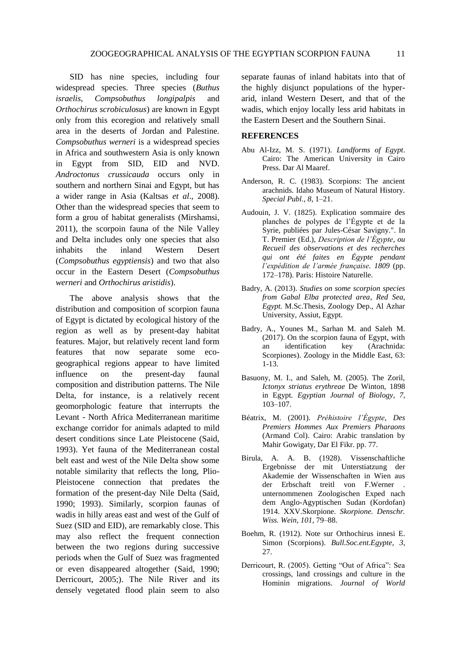SID has nine species, including four widespread species. Three species (*Buthus israelis*, *Compsobuthus longipalpis* and *Orthochirus scrobiculosus*) are known in Egypt only from this ecoregion and relatively small area in the deserts of Jordan and Palestine. *Compsobuthus werneri* is a widespread species in Africa and southwestern Asia is only known in Egypt from SID, EID and NVD. *Androctonus crussicauda* occurs only in southern and northern Sinai and Egypt, but has a wider range in Asia (Kaltsas *et al*., 2008). Other than the widespread species that seem to form a grou of habitat generalists (Mirshamsi, 2011), the scorpoin fauna of the Nile Valley and Delta includes only one species that also inhabits the inland Western Desert (*Compsobuthus egyptiensis*) and two that also occur in the Eastern Desert (*Compsobuthus werneri* and *Orthochirus aristidis*).

The above analysis shows that the distribution and composition of scorpion fauna of Egypt is dictated by ecological history of the region as well as by present-day habitat features. Major, but relatively recent land form features that now separate some ecogeographical regions appear to have limited influence on the present-day faunal composition and distribution patterns. The Nile Delta, for instance, is a relatively recent geomorphologic feature that interrupts the Levant - North Africa Mediterranean maritime exchange corridor for animals adapted to mild desert conditions since Late Pleistocene (Said, 1993). Yet fauna of the Mediterranean costal belt east and west of the Nile Delta show some notable similarity that reflects the long, Plio-Pleistocene connection that predates the formation of the present-day Nile Delta (Said, 1990; 1993). Similarly, scorpion faunas of wadis in hilly areas east and west of the Gulf of Suez (SID and EID), are remarkably close. This may also reflect the frequent connection between the two regions during successive periods when the Gulf of Suez was fragmented or even disappeared altogether (Said, 1990; Derricourt, 2005;). The Nile River and its densely vegetated flood plain seem to also

separate faunas of inland habitats into that of the highly disjunct populations of the hyperarid, inland Western Desert, and that of the wadis, which enjoy locally less arid habitats in the Eastern Desert and the Southern Sinai.

# **REFERENCES**

- Abu Al-Izz, M. S. (1971). *Landforms of Egypt*. Cairo: The American University in Cairo Press. Dar Al Maaref.
- Anderson, R. C. (1983). Scorpions: The ancient arachnids. Idaho Museum of Natural History. *Special Publ.*, *8*, 1–21.
- Audouin, J. V. (1825). Explication sommaire des planches de polypes de l'Égypte et de la Syrie, publiées par Jules-César Savigny.". In T. Premier (Ed.), *Description de l'Égypte*, *ou Recueil des observations et des recherches qui ont été faites en Égypte pendant l'expédition de l'armée française. 1809* (pp. 172–178). Paris: Histoire Naturelle.
- Badry, A. (2013). *Studies on some scorpion species from Gabal Elba protected area*, *Red Sea*, *Egypt.* M.Sc.Thesis, Zoology Dep., Al Azhar University, Assiut, Egypt.
- Badry, A., Younes M., Sarhan M. and Saleh M. (2017). On the scorpion fauna of Egypt, with an identification key (Arachnida: Scorpiones). Zoology in the Middle East, 63: 1-13.
- Basuony, M. I., and Saleh, M. (2005). The Zoril, *Ictonyx striatus erythreae* De Winton, 1898 in Egypt. *Egyptian Journal of Biology*, *7*, 103–107.
- Béatrix, M. (2001). *Préhistoire l'Égypte*, *Des Premiers Hommes Aux Premiers Pharaons* (Armand Col). Cairo: Arabic translation by Mahir Gowigaty, Dar El Fikr. pp. 77.
- Birula, A. A. B. (1928). Vissenschaftliche Ergebnisse der mit Unterstiatzung der Akademie der Wissenschaften in Wien aus der Erbschaft treitl von F.Werner . unternommenen Zoologischen Exped nach dem Anglo-Agyptischen Sudan (Kordofan) 1914. XXV.Skorpione. *Skorpione. Denschr. Wiss. Wein*, *101*, 79–88.
- Boehm, R. (1912). Note sur Orthochirus innesi E. Simon (Scorpions). *Bull.Soc.ent.Egypte*, *3*, 27.
- Derricourt, R. (2005). Getting "Out of Africa": Sea crossings, land crossings and culture in the Hominin migrations. *Journal of World*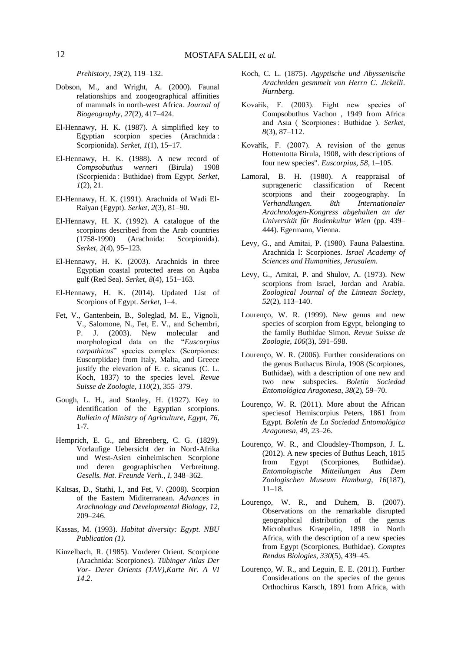*Prehistory*, *19*(2), 119–132.

- Dobson, M., and Wright, A. (2000). Faunal relationships and zoogeographical affinities of mammals in north-west Africa. *Journal of Biogeography*, *27*(2), 417–424.
- El-Hennawy, H. K. (1987). A simplified key to Egyptian scorpion species (Arachnida : Scorpionida). *Serket*, *1*(1), 15–17.
- El-Hennawy, H. K. (1988). A new record of *Compsobuthus werneri* (Birula) 1908 (Scorpienida : Buthidae) from Egypt. *Serket*, *1*(2), 21.
- El-Hennawy, H. K. (1991). Arachnida of Wadi El-Raiyan (Egypt). *Serket*, *2*(3), 81–90.
- El-Hennawy, H. K. (1992). A catalogue of the scorpions described from the Arab countries (1758-1990) (Arachnida: Scorpionida). *Serket*, *2*(4), 95–123.
- El-Hennawy, H. K. (2003). Arachnids in three Egyptian coastal protected areas on Aqaba gulf (Red Sea). *Serket*, *8*(4), 151–163.
- El-Hennawy, H. K. (2014). Updated List of Scorpions of Egypt. *Serket*, 1–4.
- Fet, V., Gantenbein, B., Soleglad, M. E., Vignoli, V., Salomone, N., Fet, E. V., and Schembri, P. J. (2003). New molecular and morphological data on the "*Euscorpius carpathicus*" species complex (Scorpiones: Euscorpiidae) from Italy, Malta, and Greece justify the elevation of E. c. sicanus (C. L. Koch, 1837) to the species level. *Revue Suisse de Zoologie*, *110*(2), 355–379.
- Gough, L. H., and Stanley, H. (1927). Key to identification of the Egyptian scorpions. *Bulletin of Ministry of Agriculture*, *Egypt*, *76,*  1-7.
- Hemprich, E. G., and Ehrenberg, C. G. (1829). Vorlaufige Uebersicht der in Nord-Afrika und West-Asien einheimischen Scorpione und deren geographischen Verbreitung. *Gesells. Nat. Freunde Verh.*, *I*, 348–362.
- Kaltsas, D., Stathi, I., and Fet, V. (2008). Scorpion of the Eastern Miditerranean. *Advances in Arachnology and Developmental Biology*, *12*, 209–246.
- Kassas, M. (1993). *Habitat diversity: Egypt. NBU Publication (1)*.
- Kinzelbach, R. (1985). Vorderer Orient. Scorpione (Arachnida: Scorpiones). *Tübinger Atlas Der Vor- Derer Orients (TAV)*,*Karte Nr. A VI 14.2*.
- Koch, C. L. (1875). *Agyptische und Abyssenische Arachniden gesmmelt von Herrn C. Jickelli*. *Nurnberg.*
- Kovařík, F. (2003). Eight new species of Compsobuthus Vachon , 1949 from Africa and Asia ( Scorpiones : Buthidae ). *Serket*, *8*(3), 87–112.
- Kovařík, F. (2007). A revision of the genus Hottentotta Birula, 1908, with descriptions of four new species". *Euscorpius*, *58*, 1–105.
- Lamoral, B. H. (1980). A reappraisal of suprageneric classification of Recent scorpions and their zoogeography. In *Verhandlungen. 8th Internationaler Arachnologen-Kongress abgehalten an der Universität für Bodenkultur Wien* (pp. 439– 444). Egermann, Vienna.
- Levy, G., and Amitai, P. (1980). Fauna Palaestina. Arachnida I: Scorpiones. *Israel Academy of Sciences and Humanities*, *Jerusalem.*
- Levy, G., Amitai, P. and Shulov, A. (1973). New scorpions from Israel, Jordan and Arabia. *Zoological Journal of the Linnean Society*, *52*(2), 113–140.
- Lourenço, W. R. (1999). New genus and new species of scorpion from Egypt, belonging to the family Buthidae Simon. *Revue Suisse de Zoologie*, *106*(3), 591–598.
- Lourenço, W. R. (2006). Further considerations on the genus Buthacus Birula, 1908 (Scorpiones, Buthidae), with a description of one new and two new subspecies. *Boletín Sociedad Entomológica Aragonesa*, *38*(2), 59–70.
- Lourenço, W. R. (2011). More about the African speciesof Hemiscorpius Peters, 1861 from Egypt. *Boletín de La Sociedad Entomológica Aragonesa*, *49*, 23–26.
- Lourenço, W. R., and Cloudsley-Thompson, J. L. (2012). A new species of Buthus Leach, 1815 from Egypt (Scorpiones, Buthidae). *Entomologische Mitteilungen Aus Dem Zoologischen Museum Hamburg*, *16*(187), 11–18.
- Lourenço, W. R., and Duhem, B. (2007). Observations on the remarkable disrupted geographical distribution of the genus Microbuthus Kraepelin, 1898 in North Africa, with the description of a new species from Egypt (Scorpiones, Buthidae). *Comptes Rendus Biologies*, *330*(5), 439–45.
- Lourenço, W. R., and Leguin, E. E. (2011). Further Considerations on the species of the genus Orthochirus Karsch, 1891 from Africa, with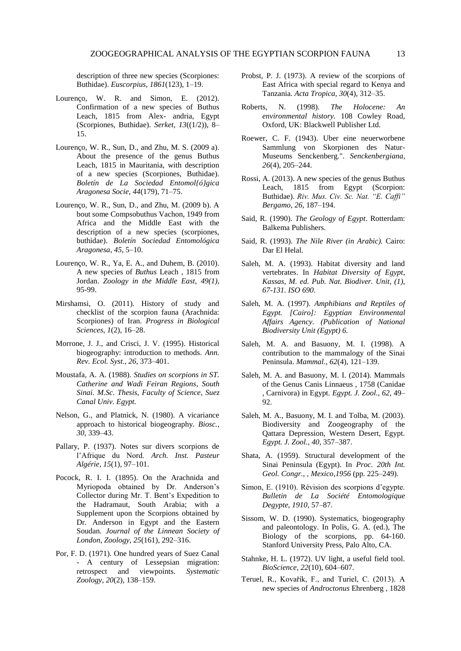description of three new species (Scorpiones: Buthidae). *Euscorpius*, *1861*(123), 1–19.

- Lourenço, W. R. and Simon, E. (2012). Confirmation of a new species of Buthus Leach, 1815 from Alex- andria, Egypt (Scorpiones, Buthidae). *Serket*, *13*((1/2)), 8– 15.
- Lourenço, W. R., Sun, D., and Zhu, M. S. (2009 a). About the presence of the genus Buthus Leach, 1815 in Mauritania, with description of a new species (Scorpiones, Buthidae). *Boletín de La Sociedad Entomol{ó}gica Aragonesa Socie*, *44*(179), 71–75.
- Lourenço, W. R., Sun, D., and Zhu, M. (2009 b). A bout some Compsobuthus Vachon, 1949 from Africa and the Middle East with the description of a new species (scorpiones, buthidae). *Boletín Sociedad Entomológica Aragonesa*, *45*, 5–10.
- Lourenço, W. R., Ya, E. A., and Duhem, B. (2010). A new species of *Buthus* Leach , 1815 from Jordan. *Zoology in the Middle East*, *49(1),*  95-99.
- Mirshamsi, O. (2011). History of study and checklist of the scorpion fauna (Arachnida: Scorpiones) of Iran. *Progress in Biological Sciences*, *1*(2), 16–28.
- Morrone, J. J., and Crisci, J. V. (1995). Historical biogeography: introduction to methods. *Ann. Rev. Ecol. Syst.*, *26*, 373–401.
- Moustafa, A. A. (1988). *Studies on scorpions in ST. Catherine and Wadi Feiran Regions*, *South Sinai. M.Sc. Thesis*, *Faculty of Science*, *Suez Canal Univ. Egypt.*
- Nelson, G., and Platnick, N. (1980). A vicariance approach to historical biogeography. *Biosc.*, *30*, 339–43.
- Pallary, P. (1937). Notes sur divers scorpions de l'Afrique du Nord. *Arch. Inst. Pasteur Algérie*, *15*(1), 97–101.
- Pocock, R. I. I. (1895). On the Arachnida and Myriopoda obtained by Dr. Anderson's Collector during Mr. T. Bent's Expedition to the Hadramaut, South Arabia; with a Supplement upon the Scorpions obtained by Dr. Anderson in Egypt and the Eastern Soudan. *Journal of the Linnean Society of London*, *Zoology*, *25*(161), 292–316.
- Por, F. D. (1971). One hundred years of Suez Canal - A century of Lessepsian migration:<br>retrospect and viewpoints. Systematic retrospect and viewpoints. *Zoology*, *20*(2), 138–159.
- Probst, P. J. (1973). A review of the scorpions of East Africa with special regard to Kenya and Tanzania. *Acta Tropica*, *30*(4), 312–35.
- Roberts, N. (1998). *The Holocene: An environmental history.* 108 Cowley Road, Oxford, UK: Blackwell Publisher Ltd.
- Roewer, C. F. (1943). Uber eine neuerworbene Sammlung von Skorpionen des Natur-Museums Senckenberg.". *Senckenbergiana*, *26*(4), 205–244.
- Rossi, A. (2013). A new species of the genus Buthus Leach, 1815 from Egypt (Scorpion: Buthidae). *Riv. Mus. Civ. Sc. Nat. "E. Caffi" Bergamo*, *26*, 187–194.
- Said, R. (1990). *The Geology of Egypt*. Rotterdam: Balkema Publishers.
- Said, R. (1993). *The Nile River (in Arabic).* Cairo: Dar El Helal.
- Saleh, M. A. (1993). Habitat diversity and land vertebrates. In *Habitat Diversity of Egypt*, *Kassas*, *M. ed. Pub. Nat. Biodiver. Unit*, *(1)*, *67-131. ISO 690*.
- Saleh, M. A. (1997). *Amphibians and Reptiles of Egypt. [Cairo]: Egyptian Environmental Affairs Agency. (Publication of National Biodiversity Unit (Egypt) 6.*
- Saleh, M. A. and Basuony, M. I. (1998). A contribution to the mammalogy of the Sinai Peninsula. *Mammal.*, *62*(4), 121–139.
- Saleh, M. A. and Basuony, M. I. (2014). Mammals of the Genus Canis Linnaeus , 1758 (Canidae , Carnivora) in Egypt. *Egypt. J. Zool.*, *62*, 49– 92.
- Saleh, M. A., Basuony, M. I. and Tolba, M. (2003). Biodiversity and Zoogeography of the Qattara Depression, Western Desert, Egypt. *Egypt. J. Zool.*, *40*, 357–387.
- Shata, A. (1959). Structural development of the Sinai Peninsula (Egypt). In *Proc. 20th Int. Geol. Congr.*, , *Mexico*,*1956* (pp. 225–249).
- Simon, E. (1910). Révision des scorpions d'egypte. *Bulletin de La Société Entomologique Degypte*, *1910*, 57–87.
- Sissom, W. D. (1990). Systematics, biogeography and paleontology. In Polis, G. A. (ed.), The Biology of the scorpions, pp. 64-160. Stanford University Press, Palo Alto, CA.
- Stahnke, H. L. (1972). UV light, a useful field tool. *BioScience*, *22*(10), 604–607.
- Teruel, R., Kovařík, F., and Turiel, C. (2013). A new species of *Androctonus* Ehrenberg , 1828